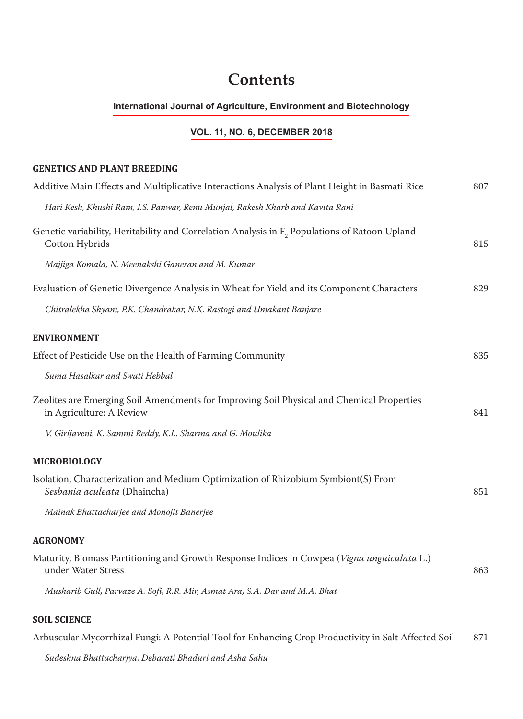# **Contents**

#### **International Journal of Agriculture, Environment and Biotechnology**

## **VOL. 11, NO. 6, DECEMBER 2018**

#### **GENETICS AND PLANT BREEDING**

| Additive Main Effects and Multiplicative Interactions Analysis of Plant Height in Basmati Rice                              | 807 |
|-----------------------------------------------------------------------------------------------------------------------------|-----|
| Hari Kesh, Khushi Ram, I.S. Panwar, Renu Munjal, Rakesh Kharb and Kavita Rani                                               |     |
| Genetic variability, Heritability and Correlation Analysis in F <sub>2</sub> Populations of Ratoon Upland<br>Cotton Hybrids | 815 |
| Majjiga Komala, N. Meenakshi Ganesan and M. Kumar                                                                           |     |
| Evaluation of Genetic Divergence Analysis in Wheat for Yield and its Component Characters                                   | 829 |
| Chitralekha Shyam, P.K. Chandrakar, N.K. Rastogi and Umakant Banjare                                                        |     |
| <b>ENVIRONMENT</b>                                                                                                          |     |
| Effect of Pesticide Use on the Health of Farming Community                                                                  | 835 |
| Suma Hasalkar and Swati Hebbal                                                                                              |     |
| Zeolites are Emerging Soil Amendments for Improving Soil Physical and Chemical Properties<br>in Agriculture: A Review       | 841 |
| V. Girijaveni, K. Sammi Reddy, K.L. Sharma and G. Moulika                                                                   |     |
| <b>MICROBIOLOGY</b>                                                                                                         |     |
| Isolation, Characterization and Medium Optimization of Rhizobium Symbiont(S) From<br>Sesbania aculeata (Dhaincha)           | 851 |
| Mainak Bhattacharjee and Monojit Banerjee                                                                                   |     |
| <b>AGRONOMY</b>                                                                                                             |     |
| Maturity, Biomass Partitioning and Growth Response Indices in Cowpea (Vigna unguiculata L.)<br>under Water Stress           | 863 |
| Musharib Gull, Parvaze A. Sofi, R.R. Mir, Asmat Ara, S.A. Dar and M.A. Bhat                                                 |     |
| <b>SOIL SCIENCE</b>                                                                                                         |     |
| Arbuscular Mycorrhizal Fungi: A Potential Tool for Enhancing Crop Productivity in Salt Affected Soil                        | 871 |

*Sudeshna Bhattacharjya, Debarati Bhaduri and Asha Sahu*